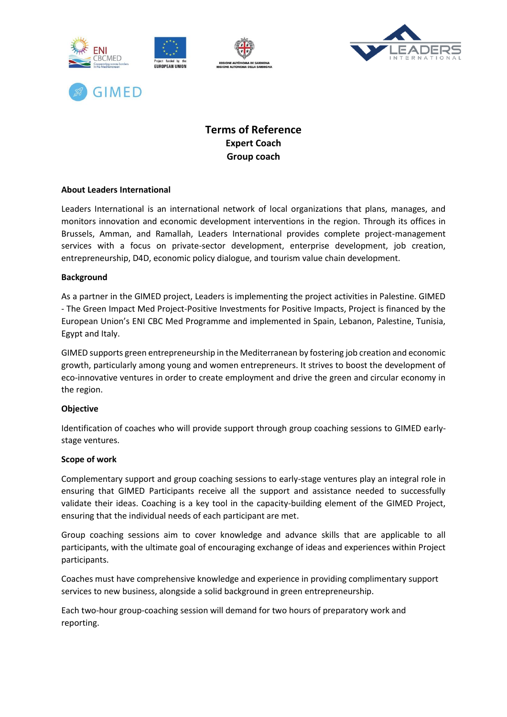





# **Terms of Reference Expert Coach Group coach**

# **About Leaders International**

Leaders International is an international network of local organizations that plans, manages, and monitors innovation and economic development interventions in the region. Through its offices in Brussels, Amman, and Ramallah, Leaders International provides complete project-management services with a focus on private-sector development, enterprise development, job creation, entrepreneurship, D4D, economic policy dialogue, and tourism value chain development.

## **Background**

As a partner in the GIMED project, Leaders is implementing the project activities in Palestine. GIMED - The Green Impact Med Project-Positive Investments for Positive Impacts, Project is financed by the European Union's ENI CBC Med Programme and implemented in Spain, Lebanon, Palestine, Tunisia, Egypt and Italy.

GIMED supports green entrepreneurship in the Mediterranean by fostering job creation and economic growth, particularly among young and women entrepreneurs. It strives to boost the development of eco-innovative ventures in order to create employment and drive the green and circular economy in the region.

## **Objective**

Identification of coaches who will provide support through group coaching sessions to GIMED earlystage ventures.

#### **Scope of work**

Complementary support and group coaching sessions to early-stage ventures play an integral role in ensuring that GIMED Participants receive all the support and assistance needed to successfully validate their ideas. Coaching is a key tool in the capacity-building element of the GIMED Project, ensuring that the individual needs of each participant are met.

Group coaching sessions aim to cover knowledge and advance skills that are applicable to all participants, with the ultimate goal of encouraging exchange of ideas and experiences within Project participants.

Coaches must have comprehensive knowledge and experience in providing complimentary support services to new business, alongside a solid background in green entrepreneurship.

Each two-hour group-coaching session will demand for two hours of preparatory work and reporting.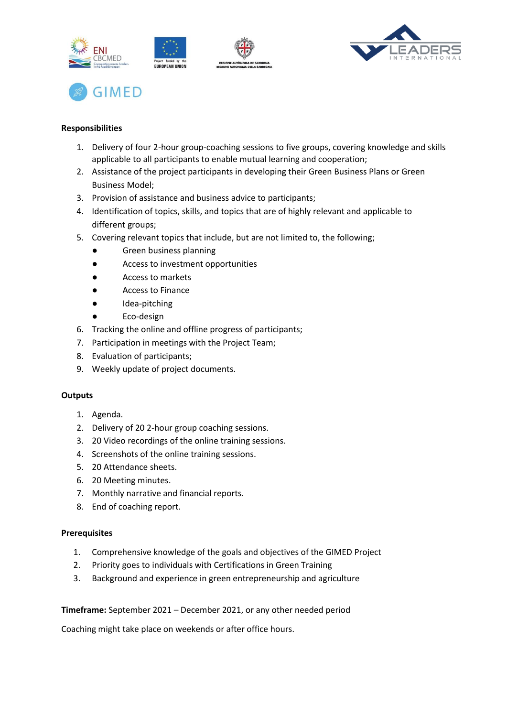





# **Responsibilities**

- 1. Delivery of four 2-hour group-coaching sessions to five groups, covering knowledge and skills applicable to all participants to enable mutual learning and cooperation;
- 2. Assistance of the project participants in developing their Green Business Plans or Green Business Model;
- 3. Provision of assistance and business advice to participants;
- 4. Identification of topics, skills, and topics that are of highly relevant and applicable to different groups;
- 5. Covering relevant topics that include, but are not limited to, the following;
	- Green business planning
	- Access to investment opportunities
	- Access to markets
	- Access to Finance
	- Idea-pitching
	- Eco-design
- 6. Tracking the online and offline progress of participants;
- 7. Participation in meetings with the Project Team;
- 8. Evaluation of participants;
- 9. Weekly update of project documents.

## **Outputs**

- 1. Agenda.
- 2. Delivery of 20 2-hour group coaching sessions.
- 3. 20 Video recordings of the online training sessions.
- 4. Screenshots of the online training sessions.
- 5. 20 Attendance sheets.
- 6. 20 Meeting minutes.
- 7. Monthly narrative and financial reports.
- 8. End of coaching report.

## **Prerequisites**

- 1. Comprehensive knowledge of the goals and objectives of the GIMED Project
- 2. Priority goes to individuals with Certifications in Green Training
- 3. Background and experience in green entrepreneurship and agriculture

**Timeframe:** September 2021 – December 2021, or any other needed period

Coaching might take place on weekends or after office hours.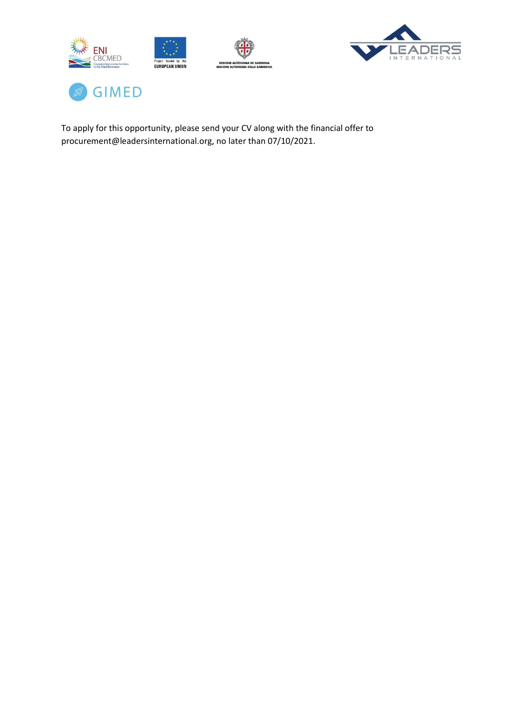





To apply for this opportunity, please send your CV along with the financial offer to procurement@leadersinternational.org, no later than 07/10/2021.